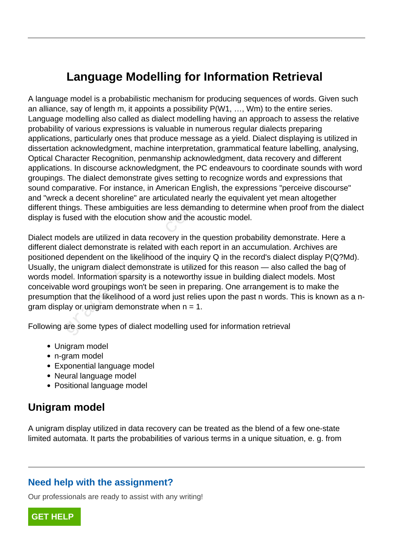# **Language Modelling for Information Retrieval**

A language model is a probabilistic mechanism for producing sequences of words. Given such an alliance, say of length m, it appoints a possibility P(W1, …, Wm) to the entire series. Language modelling also called as dialect modelling having an approach to assess the relative probability of various expressions is valuable in numerous regular dialects preparing applications, particularly ones that produce message as a yield. Dialect displaying is utilized in dissertation acknowledgment, machine interpretation, grammatical feature labelling, analysing, Optical Character Recognition, penmanship acknowledgment, data recovery and different applications. In discourse acknowledgment, the PC endeavours to coordinate sounds with word groupings. The dialect demonstrate gives setting to recognize words and expressions that sound comparative. For instance, in American English, the expressions "perceive discourse" and "wreck a decent shoreline" are articulated nearly the equivalent yet mean altogether different things. These ambiguities are less demanding to determine when proof from the dialect display is fused with the elocution show and the acoustic model.

Dialect models are utilized in data recovery in the question probability demonstrate. Here a different dialect demonstrate is related with each report in an accumulation. Archives are positioned dependent on the likelihood of the inquiry Q in the record's dialect display P(Q?Md). Usually, the unigram dialect demonstrate is utilized for this reason — also called the bag of words model. Information sparsity is a noteworthy issue in building dialect models. Most conceivable word groupings won't be seen in preparing. One arrangement is to make the presumption that the likelihood of a word just relies upon the past n words. This is known as a ngram display or unigram demonstrate when  $n = 1$ . lings. These ambiguities are less demainted with the elocution show and the andlest are utilized in data recovery in the lalect demonstrate is related with each dependent on the likelihood of the inque unigram dialect dem

Following are some types of dialect modelling used for information retrieval

- Unigram model
- n-gram model
- Exponential language model
- Neural language model
- Positional language model

### **Unigram model**

A unigram display utilized in data recovery can be treated as the blend of a few one-state limited automata. It parts the probabilities of various terms in a unique situation, e. g. from

#### **Need help with the assignment?**

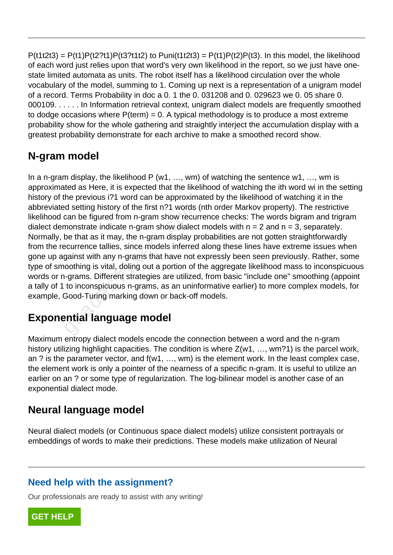$P(t1t2t3) = P(t1)P(t2?t1)P(t3?t1t2)$  to  $Puni(t1t2t3) = P(t1)P(t2)P(t3)$ . In this model, the likelihood of each word just relies upon that word's very own likelihood in the report, so we just have onestate limited automata as units. The robot itself has a likelihood circulation over the whole vocabulary of the model, summing to 1. Coming up next is a representation of a unigram model of a record. Terms Probability in doc a 0. 1 the 0. 031208 and 0. 029623 we 0. 05 share 0. 000109. . . . . . In Information retrieval context, unigram dialect models are frequently smoothed to dodge occasions where  $P(\text{term}) = 0$ . A typical methodology is to produce a most extreme probability show for the whole gathering and straightly interject the accumulation display with a greatest probability demonstrate for each archive to make a smoothed record show.

## **N-gram model**

In a n-gram display, the likelihood P (w1, ..., wm) of watching the sentence w1, ..., wm is approximated as Here, it is expected that the likelihood of watching the ith word wi in the setting history of the previous i?1 word can be approximated by the likelihood of watching it in the abbreviated setting history of the first n?1 words (nth order Markov property). The restrictive likelihood can be figured from n-gram show recurrence checks: The words bigram and trigram dialect demonstrate indicate n-gram show dialect models with  $n = 2$  and  $n = 3$ , separately. Normally, be that as it may, the n-gram display probabilities are not gotten straightforwardly from the recurrence tallies, since models inferred along these lines have extreme issues when gone up against with any n-grams that have not expressly been seen previously. Rather, some type of smoothing is vital, doling out a portion of the aggregate likelihood mass to inconspicuous words or n-grams. Different strategies are utilized, from basic "include one" smoothing (appoint a tally of 1 to inconspicuous n-grams, as an uninformative earlier) to more complex models, for example, Good-Turing marking down or back-off models. d setting history of the first n?1 words<br>can be figured from n-gram show recur<br>monstrate indicate n-gram show dialect<br>be that as it may, the n-gram display pi<br>ecurrence tallies, since models inferred<br>gainst with any n-gram

# **Exponential language model**

Maximum entropy dialect models encode the connection between a word and the n-gram history utilizing highlight capacities. The condition is where  $Z(w1, ..., wm?1)$  is the parcel work, an ? is the parameter vector, and f(w1, …, wm) is the element work. In the least complex case, the element work is only a pointer of the nearness of a specific n-gram. It is useful to utilize an earlier on an ? or some type of regularization. The log-bilinear model is another case of an exponential dialect mode.

### **Neural language model**

Neural dialect models (or Continuous space dialect models) utilize consistent portrayals or embeddings of words to make their predictions. These models make utilization of Neural

### **Need help with the assignment?**

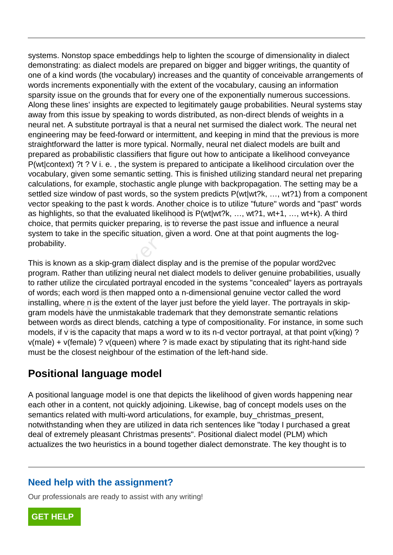systems. Nonstop space embeddings help to lighten the scourge of dimensionality in dialect demonstrating: as dialect models are prepared on bigger and bigger writings, the quantity of one of a kind words (the vocabulary) increases and the quantity of conceivable arrangements of words increments exponentially with the extent of the vocabulary, causing an information sparsity issue on the grounds that for every one of the exponentially numerous successions. Along these lines' insights are expected to legitimately gauge probabilities. Neural systems stay away from this issue by speaking to words distributed, as non-direct blends of weights in a neural net. A substitute portrayal is that a neural net surmised the dialect work. The neural net engineering may be feed-forward or intermittent, and keeping in mind that the previous is more straightforward the latter is more typical. Normally, neural net dialect models are built and prepared as probabilistic classifiers that figure out how to anticipate a likelihood conveyance P(wt|context) ?t ? V i. e. , the system is prepared to anticipate a likelihood circulation over the vocabulary, given some semantic setting. This is finished utilizing standard neural net preparing calculations, for example, stochastic angle plunge with backpropagation. The setting may be a settled size window of past words, so the system predicts P(wt|wt?k, ..., wt?1) from a component vector speaking to the past k words. Another choice is to utilize "future" words and "past" words as highlights, so that the evaluated likelihood is P(wt|wt?k, …, wt?1, wt+1, …, wt+k). A third choice, that permits quicker preparing, is to reverse the past issue and influence a neural system to take in the specific situation, given a word. One at that point augments the logprobability.

This is known as a skip-gram dialect display and is the premise of the popular word2vec program. Rather than utilizing neural net dialect models to deliver genuine probabilities, usually to rather utilize the circulated portrayal encoded in the systems "concealed" layers as portrayals of words; each word is then mapped onto a n-dimensional genuine vector called the word installing, where n is the extent of the layer just before the yield layer. The portrayals in skipgram models have the unmistakable trademark that they demonstrate semantic relations between words as direct blends, catching a type of compositionality. For instance, in some such models, if v is the capacity that maps a word w to its n-d vector portrayal, at that point v(king) ? v(male) + v(female) ? v(queen) where ? is made exact by stipulating that its right-hand side must be the closest neighbour of the estimation of the left-hand side. aking to the past K words. Another chots, so that the evaluated likelihood is P<br>at permits quicker preparing, is to rever<br>take in the specific situation, given a w<br>wwn as a skip-gram dialect display and<br>Rather than utilizi

### **Positional language model**

A positional language model is one that depicts the likelihood of given words happening near each other in a content, not quickly adjoining. Likewise, bag of concept models uses on the semantics related with multi-word articulations, for example, buy\_christmas\_present, notwithstanding when they are utilized in data rich sentences like "today I purchased a great deal of extremely pleasant Christmas presents". Positional dialect model (PLM) which actualizes the two heuristics in a bound together dialect demonstrate. The key thought is to

#### **Need help with the assignment?**